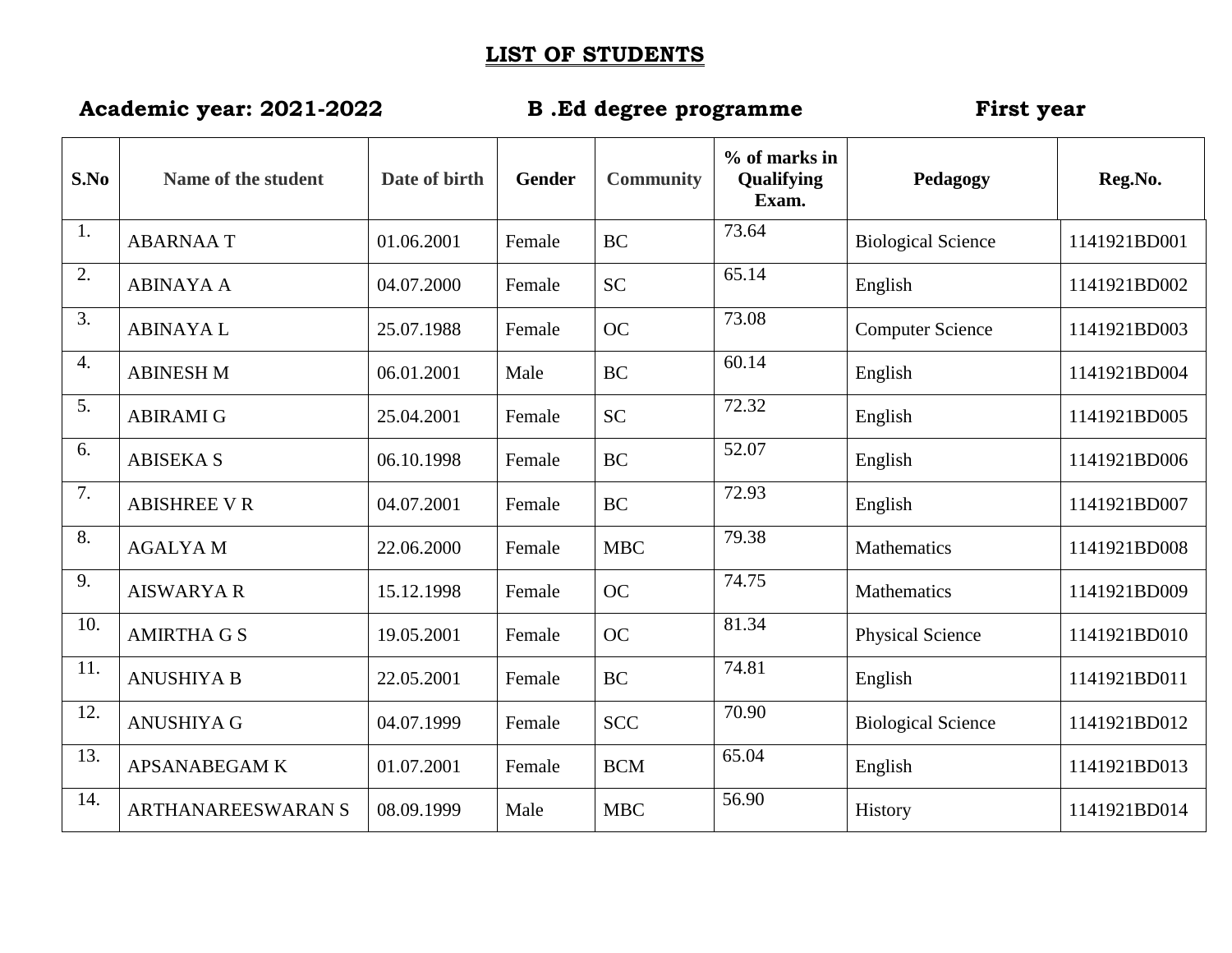## **LIST OF STUDENTS**

## **Academic year: 2021-2022 B .Ed degree programme First year**

| S.No             | Name of the student       | Date of birth | Gender | <b>Community</b> | $%$ of marks in<br>Qualifying<br>Exam. | Pedagogy                  | Reg.No.      |
|------------------|---------------------------|---------------|--------|------------------|----------------------------------------|---------------------------|--------------|
| 1.               | <b>ABARNAAT</b>           | 01.06.2001    | Female | <b>BC</b>        | 73.64                                  | <b>Biological Science</b> | 1141921BD001 |
| 2.               | <b>ABINAYA A</b>          | 04.07.2000    | Female | <b>SC</b>        | 65.14                                  | English                   | 1141921BD002 |
| 3.               | <b>ABINAYAL</b>           | 25.07.1988    | Female | <b>OC</b>        | 73.08                                  | <b>Computer Science</b>   | 1141921BD003 |
| $\overline{4}$ . | <b>ABINESH M</b>          | 06.01.2001    | Male   | <b>BC</b>        | 60.14                                  | English                   | 1141921BD004 |
| 5.               | <b>ABIRAMI G</b>          | 25.04.2001    | Female | <b>SC</b>        | 72.32                                  | English                   | 1141921BD005 |
| 6.               | <b>ABISEKA S</b>          | 06.10.1998    | Female | <b>BC</b>        | 52.07                                  | English                   | 1141921BD006 |
| 7.               | <b>ABISHREE V R</b>       | 04.07.2001    | Female | <b>BC</b>        | 72.93                                  | English                   | 1141921BD007 |
| 8.               | <b>AGALYAM</b>            | 22.06.2000    | Female | <b>MBC</b>       | 79.38                                  | Mathematics               | 1141921BD008 |
| 9.               | <b>AISWARYA R</b>         | 15.12.1998    | Female | <b>OC</b>        | 74.75                                  | Mathematics               | 1141921BD009 |
| 10.              | <b>AMIRTHA G S</b>        | 19.05.2001    | Female | <b>OC</b>        | 81.34                                  | <b>Physical Science</b>   | 1141921BD010 |
| 11.              | <b>ANUSHIYA B</b>         | 22.05.2001    | Female | <b>BC</b>        | 74.81                                  | English                   | 1141921BD011 |
| 12.              | <b>ANUSHIYA G</b>         | 04.07.1999    | Female | <b>SCC</b>       | 70.90                                  | <b>Biological Science</b> | 1141921BD012 |
| 13.              | <b>APSANABEGAM K</b>      | 01.07.2001    | Female | <b>BCM</b>       | 65.04                                  | English                   | 1141921BD013 |
| 14.              | <b>ARTHANAREESWARAN S</b> | 08.09.1999    | Male   | <b>MBC</b>       | 56.90                                  | History                   | 1141921BD014 |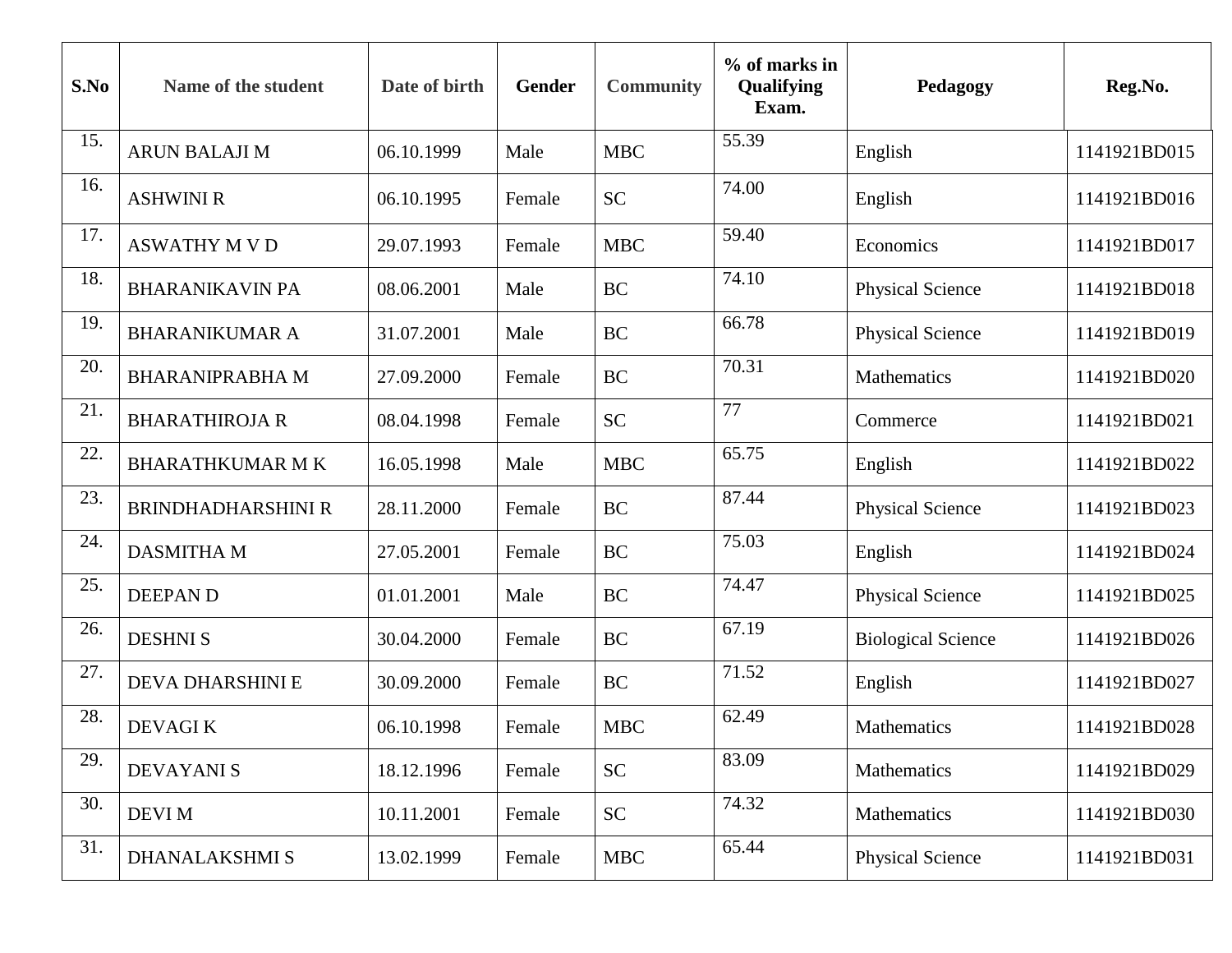| S.No | Name of the student       | Date of birth | <b>Gender</b> | <b>Community</b> | % of marks in<br>Qualifying<br>Exam. | Pedagogy                  | Reg.No.      |
|------|---------------------------|---------------|---------------|------------------|--------------------------------------|---------------------------|--------------|
| 15.  | <b>ARUN BALAJI M</b>      | 06.10.1999    | Male          | <b>MBC</b>       | 55.39                                | English                   | 1141921BD015 |
| 16.  | <b>ASHWINI R</b>          | 06.10.1995    | Female        | <b>SC</b>        | 74.00                                | English                   | 1141921BD016 |
| 17.  | <b>ASWATHY M V D</b>      | 29.07.1993    | Female        | <b>MBC</b>       | 59.40                                | Economics                 | 1141921BD017 |
| 18.  | <b>BHARANIKAVIN PA</b>    | 08.06.2001    | Male          | <b>BC</b>        | 74.10                                | <b>Physical Science</b>   | 1141921BD018 |
| 19.  | <b>BHARANIKUMAR A</b>     | 31.07.2001    | Male          | <b>BC</b>        | 66.78                                | <b>Physical Science</b>   | 1141921BD019 |
| 20.  | <b>BHARANIPRABHA M</b>    | 27.09.2000    | Female        | <b>BC</b>        | 70.31                                | Mathematics               | 1141921BD020 |
| 21.  | <b>BHARATHIROJA R</b>     | 08.04.1998    | Female        | <b>SC</b>        | 77                                   | Commerce                  | 1141921BD021 |
| 22.  | <b>BHARATHKUMAR M K</b>   | 16.05.1998    | Male          | <b>MBC</b>       | 65.75                                | English                   | 1141921BD022 |
| 23.  | <b>BRINDHADHARSHINI R</b> | 28.11.2000    | Female        | <b>BC</b>        | 87.44                                | <b>Physical Science</b>   | 1141921BD023 |
| 24.  | <b>DASMITHA M</b>         | 27.05.2001    | Female        | <b>BC</b>        | 75.03                                | English                   | 1141921BD024 |
| 25.  | <b>DEEPAND</b>            | 01.01.2001    | Male          | <b>BC</b>        | 74.47                                | <b>Physical Science</b>   | 1141921BD025 |
| 26.  | <b>DESHNIS</b>            | 30.04.2000    | Female        | <b>BC</b>        | 67.19                                | <b>Biological Science</b> | 1141921BD026 |
| 27.  | DEVA DHARSHINI E          | 30.09.2000    | Female        | <b>BC</b>        | 71.52                                | English                   | 1141921BD027 |
| 28.  | <b>DEVAGIK</b>            | 06.10.1998    | Female        | <b>MBC</b>       | 62.49                                | Mathematics               | 1141921BD028 |
| 29.  | <b>DEVAYANIS</b>          | 18.12.1996    | Female        | <b>SC</b>        | 83.09                                | Mathematics               | 1141921BD029 |
| 30.  | <b>DEVI M</b>             | 10.11.2001    | Female        | <b>SC</b>        | 74.32                                | Mathematics               | 1141921BD030 |
| 31.  | <b>DHANALAKSHMI S</b>     | 13.02.1999    | Female        | <b>MBC</b>       | 65.44                                | <b>Physical Science</b>   | 1141921BD031 |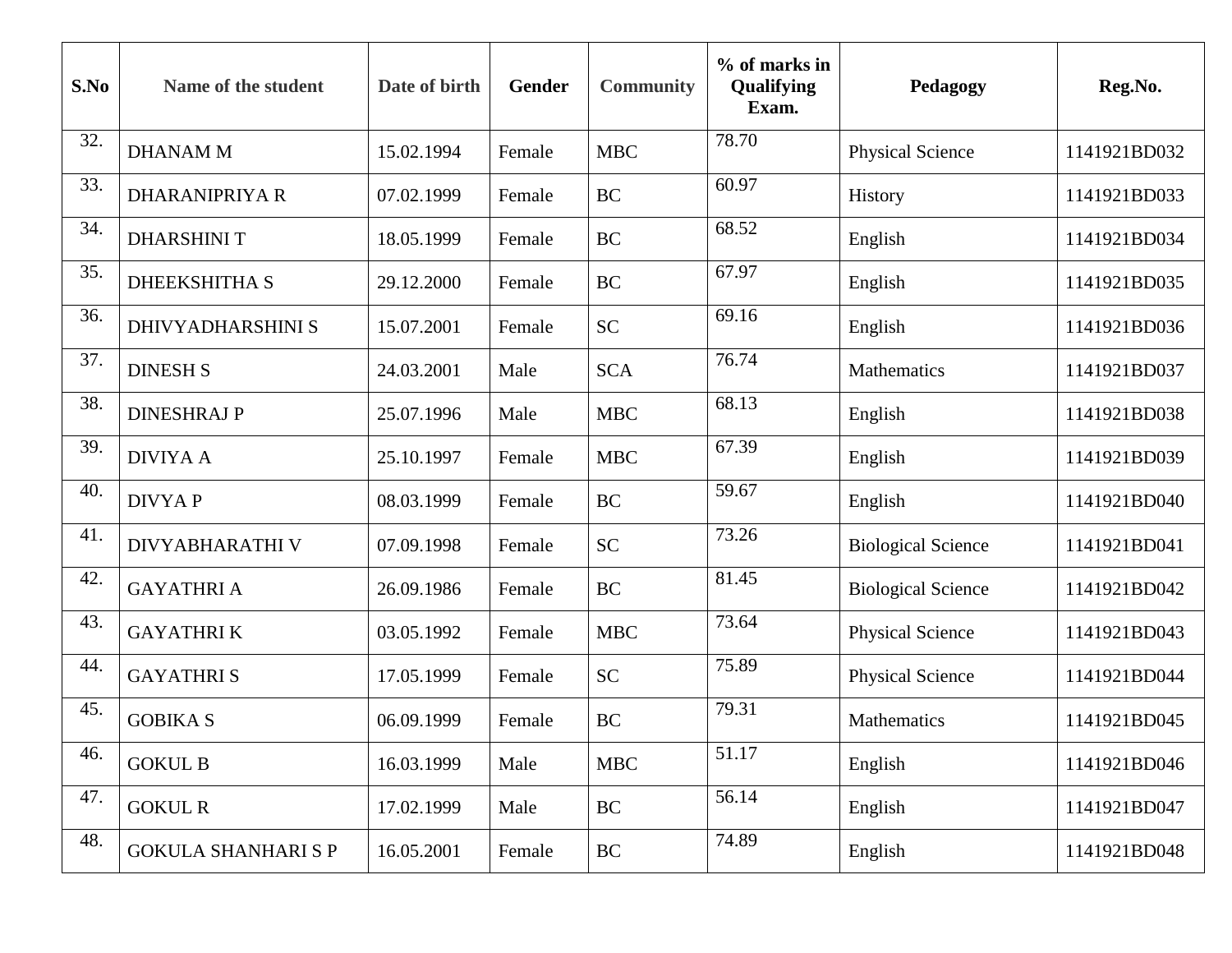| S.No | Name of the student        | Date of birth | Gender | <b>Community</b> | % of marks in<br>Qualifying<br>Exam. | Pedagogy                  | Reg.No.      |
|------|----------------------------|---------------|--------|------------------|--------------------------------------|---------------------------|--------------|
| 32.  | <b>DHANAM M</b>            | 15.02.1994    | Female | <b>MBC</b>       | 78.70                                | <b>Physical Science</b>   | 1141921BD032 |
| 33.  | <b>DHARANIPRIYA R</b>      | 07.02.1999    | Female | <b>BC</b>        | 60.97                                | <b>History</b>            | 1141921BD033 |
| 34.  | <b>DHARSHINI T</b>         | 18.05.1999    | Female | <b>BC</b>        | 68.52                                | English                   | 1141921BD034 |
| 35.  | <b>DHEEKSHITHA S</b>       | 29.12.2000    | Female | <b>BC</b>        | 67.97                                | English                   | 1141921BD035 |
| 36.  | <b>DHIVYADHARSHINI S</b>   | 15.07.2001    | Female | <b>SC</b>        | 69.16                                | English                   | 1141921BD036 |
| 37.  | <b>DINESH S</b>            | 24.03.2001    | Male   | <b>SCA</b>       | 76.74                                | Mathematics               | 1141921BD037 |
| 38.  | <b>DINESHRAJ P</b>         | 25.07.1996    | Male   | <b>MBC</b>       | 68.13                                | English                   | 1141921BD038 |
| 39.  | <b>DIVIYA A</b>            | 25.10.1997    | Female | <b>MBC</b>       | 67.39                                | English                   | 1141921BD039 |
| 40.  | <b>DIVYAP</b>              | 08.03.1999    | Female | <b>BC</b>        | 59.67                                | English                   | 1141921BD040 |
| 41.  | <b>DIVYABHARATHI V</b>     | 07.09.1998    | Female | <b>SC</b>        | 73.26                                | <b>Biological Science</b> | 1141921BD041 |
| 42.  | <b>GAYATHRI A</b>          | 26.09.1986    | Female | <b>BC</b>        | 81.45                                | <b>Biological Science</b> | 1141921BD042 |
| 43.  | <b>GAYATHRIK</b>           | 03.05.1992    | Female | <b>MBC</b>       | 73.64                                | <b>Physical Science</b>   | 1141921BD043 |
| 44.  | <b>GAYATHRIS</b>           | 17.05.1999    | Female | <b>SC</b>        | 75.89                                | <b>Physical Science</b>   | 1141921BD044 |
| 45.  | <b>GOBIKA S</b>            | 06.09.1999    | Female | <b>BC</b>        | 79.31                                | Mathematics               | 1141921BD045 |
| 46.  | <b>GOKUL B</b>             | 16.03.1999    | Male   | <b>MBC</b>       | 51.17                                | English                   | 1141921BD046 |
| 47.  | <b>GOKUL R</b>             | 17.02.1999    | Male   | BC               | 56.14                                | English                   | 1141921BD047 |
| 48.  | <b>GOKULA SHANHARI S P</b> | 16.05.2001    | Female | BC               | 74.89                                | English                   | 1141921BD048 |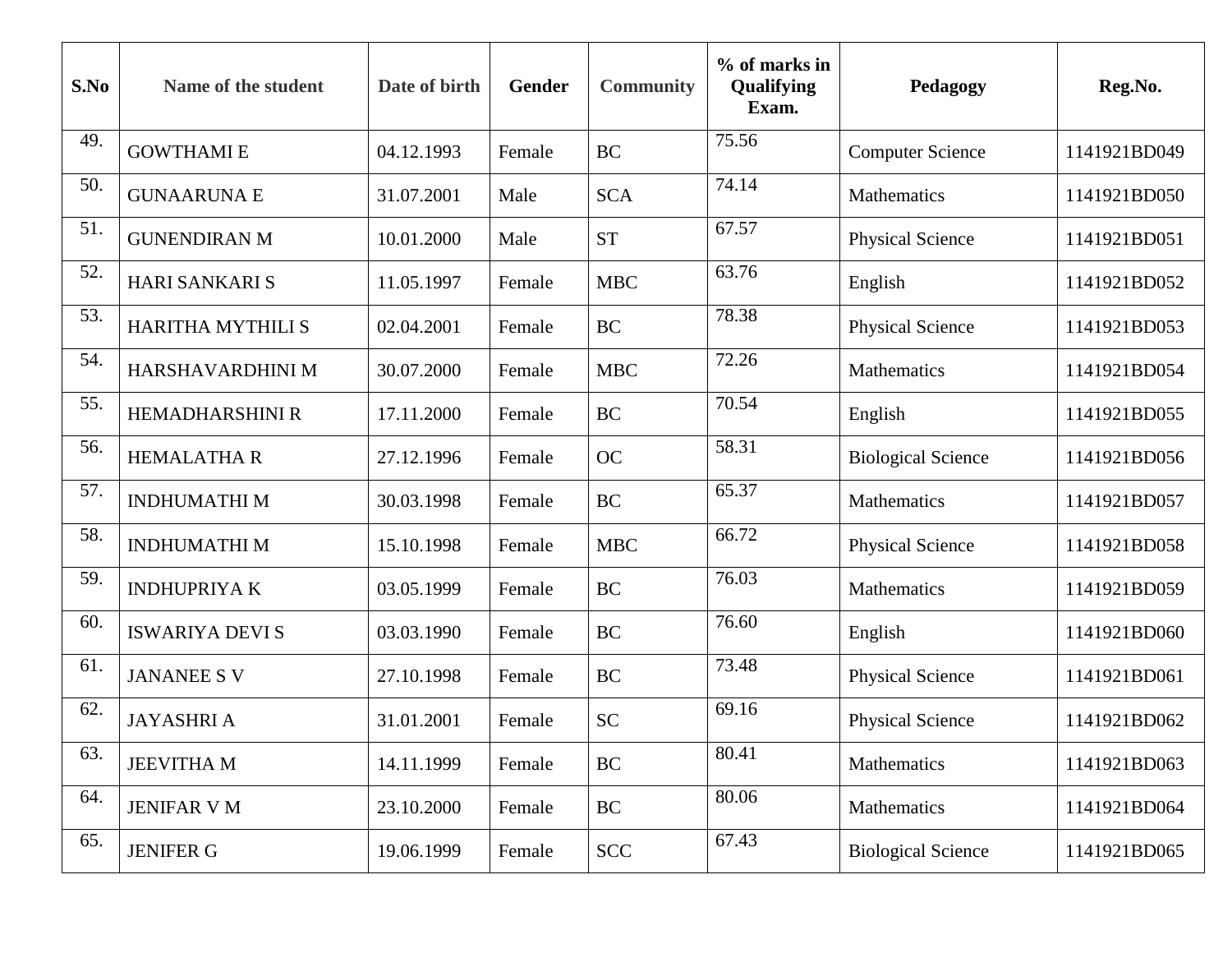| S.No | Name of the student    | Date of birth | Gender | <b>Community</b> | $%$ of marks in<br>Qualifying<br>Exam. | Pedagogy                  | Reg.No.      |
|------|------------------------|---------------|--------|------------------|----------------------------------------|---------------------------|--------------|
| 49.  | <b>GOWTHAMIE</b>       | 04.12.1993    | Female | <b>BC</b>        | 75.56                                  | <b>Computer Science</b>   | 1141921BD049 |
| 50.  | <b>GUNAARUNA E</b>     | 31.07.2001    | Male   | <b>SCA</b>       | 74.14                                  | Mathematics               | 1141921BD050 |
| 51.  | <b>GUNENDIRAN M</b>    | 10.01.2000    | Male   | <b>ST</b>        | 67.57                                  | <b>Physical Science</b>   | 1141921BD051 |
| 52.  | <b>HARI SANKARI S</b>  | 11.05.1997    | Female | <b>MBC</b>       | 63.76                                  | English                   | 1141921BD052 |
| 53.  | HARITHA MYTHILI S      | 02.04.2001    | Female | <b>BC</b>        | 78.38                                  | <b>Physical Science</b>   | 1141921BD053 |
| 54.  | HARSHAVARDHINI M       | 30.07.2000    | Female | <b>MBC</b>       | 72.26                                  | Mathematics               | 1141921BD054 |
| 55.  | <b>HEMADHARSHINI R</b> | 17.11.2000    | Female | <b>BC</b>        | 70.54                                  | English                   | 1141921BD055 |
| 56.  | <b>HEMALATHAR</b>      | 27.12.1996    | Female | <b>OC</b>        | 58.31                                  | <b>Biological Science</b> | 1141921BD056 |
| 57.  | <b>INDHUMATHIM</b>     | 30.03.1998    | Female | <b>BC</b>        | 65.37                                  | Mathematics               | 1141921BD057 |
| 58.  | <b>INDHUMATHIM</b>     | 15.10.1998    | Female | <b>MBC</b>       | 66.72                                  | <b>Physical Science</b>   | 1141921BD058 |
| 59.  | <b>INDHUPRIYAK</b>     | 03.05.1999    | Female | <b>BC</b>        | 76.03                                  | Mathematics               | 1141921BD059 |
| 60.  | <b>ISWARIYA DEVIS</b>  | 03.03.1990    | Female | <b>BC</b>        | 76.60                                  | English                   | 1141921BD060 |
| 61.  | <b>JANANEE S V</b>     | 27.10.1998    | Female | <b>BC</b>        | 73.48                                  | <b>Physical Science</b>   | 1141921BD061 |
| 62.  | <b>JAYASHRI A</b>      | 31.01.2001    | Female | <b>SC</b>        | 69.16                                  | <b>Physical Science</b>   | 1141921BD062 |
| 63.  | <b>JEEVITHA M</b>      | 14.11.1999    | Female | BC               | 80.41                                  | Mathematics               | 1141921BD063 |
| 64.  | <b>JENIFAR V M</b>     | 23.10.2000    | Female | BC               | 80.06                                  | Mathematics               | 1141921BD064 |
| 65.  | <b>JENIFER G</b>       | 19.06.1999    | Female | <b>SCC</b>       | 67.43                                  | <b>Biological Science</b> | 1141921BD065 |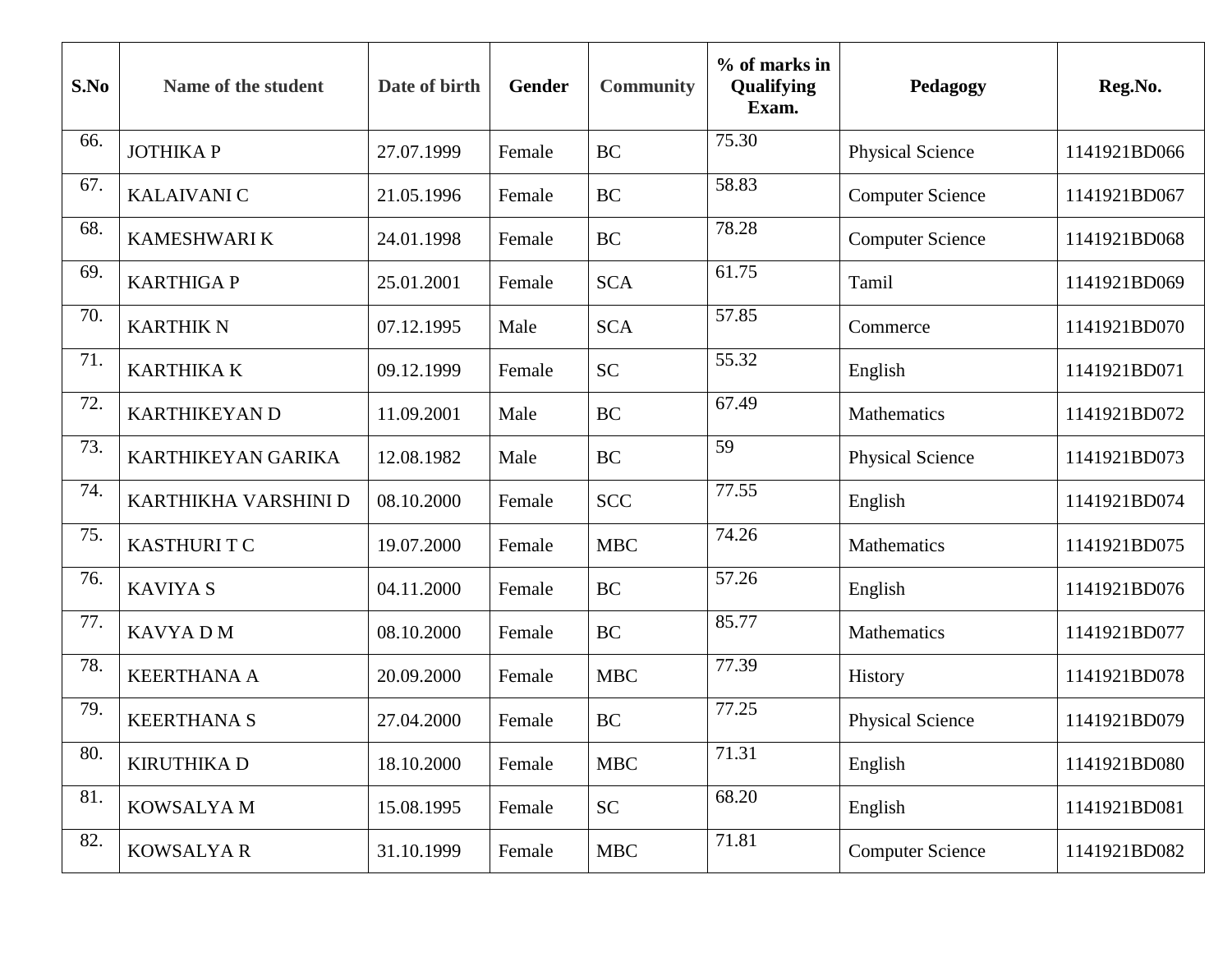| S.No | Name of the student  | Date of birth | Gender | <b>Community</b> | % of marks in<br>Qualifying<br>Exam. | Pedagogy                | Reg.No.      |
|------|----------------------|---------------|--------|------------------|--------------------------------------|-------------------------|--------------|
| 66.  | <b>JOTHIKAP</b>      | 27.07.1999    | Female | <b>BC</b>        | 75.30                                | <b>Physical Science</b> | 1141921BD066 |
| 67.  | <b>KALAIVANIC</b>    | 21.05.1996    | Female | <b>BC</b>        | 58.83                                | <b>Computer Science</b> | 1141921BD067 |
| 68.  | <b>KAMESHWARI K</b>  | 24.01.1998    | Female | <b>BC</b>        | 78.28                                | <b>Computer Science</b> | 1141921BD068 |
| 69.  | <b>KARTHIGAP</b>     | 25.01.2001    | Female | <b>SCA</b>       | 61.75                                | Tamil                   | 1141921BD069 |
| 70.  | <b>KARTHIK N</b>     | 07.12.1995    | Male   | <b>SCA</b>       | 57.85                                | Commerce                | 1141921BD070 |
| 71.  | <b>KARTHIKA K</b>    | 09.12.1999    | Female | <b>SC</b>        | 55.32                                | English                 | 1141921BD071 |
| 72.  | <b>KARTHIKEYAN D</b> | 11.09.2001    | Male   | <b>BC</b>        | 67.49                                | Mathematics             | 1141921BD072 |
| 73.  | KARTHIKEYAN GARIKA   | 12.08.1982    | Male   | <b>BC</b>        | 59                                   | <b>Physical Science</b> | 1141921BD073 |
| 74.  | KARTHIKHA VARSHINI D | 08.10.2000    | Female | <b>SCC</b>       | 77.55                                | English                 | 1141921BD074 |
| 75.  | <b>KASTHURIT C</b>   | 19.07.2000    | Female | <b>MBC</b>       | 74.26                                | Mathematics             | 1141921BD075 |
| 76.  | <b>KAVIYA S</b>      | 04.11.2000    | Female | <b>BC</b>        | 57.26                                | English                 | 1141921BD076 |
| 77.  | <b>KAVYADM</b>       | 08.10.2000    | Female | <b>BC</b>        | 85.77                                | Mathematics             | 1141921BD077 |
| 78.  | <b>KEERTHANA A</b>   | 20.09.2000    | Female | <b>MBC</b>       | 77.39                                | History                 | 1141921BD078 |
| 79.  | <b>KEERTHANA S</b>   | 27.04.2000    | Female | <b>BC</b>        | 77.25                                | <b>Physical Science</b> | 1141921BD079 |
| 80.  | <b>KIRUTHIKA D</b>   | 18.10.2000    | Female | <b>MBC</b>       | 71.31                                | English                 | 1141921BD080 |
| 81.  | KOWSALYA M           | 15.08.1995    | Female | <b>SC</b>        | 68.20                                | English                 | 1141921BD081 |
| 82.  | <b>KOWSALYAR</b>     | 31.10.1999    | Female | <b>MBC</b>       | 71.81                                | <b>Computer Science</b> | 1141921BD082 |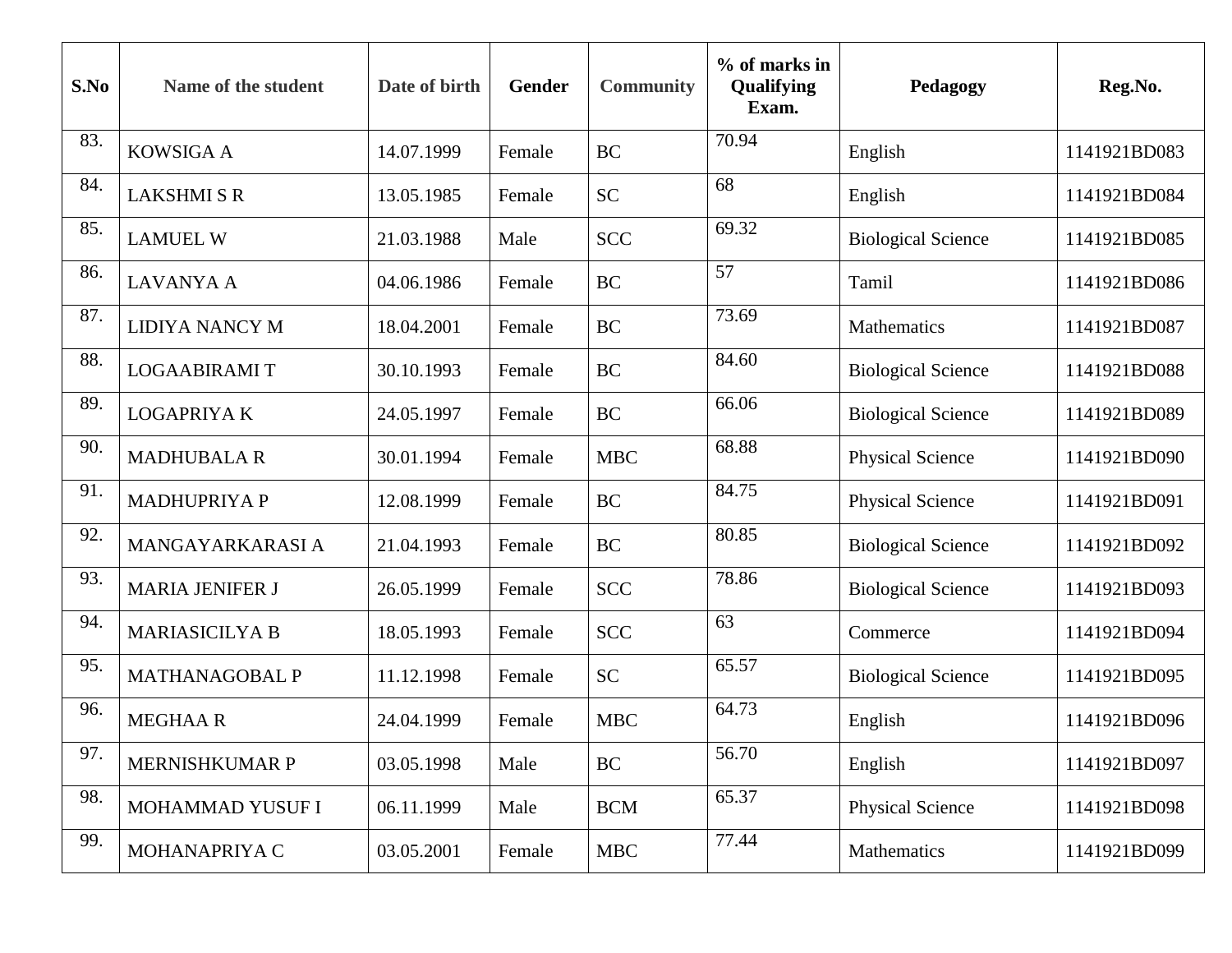| S.No | Name of the student    | Date of birth | Gender | <b>Community</b> | % of marks in<br>Qualifying<br>Exam. | Pedagogy                  | Reg.No.      |
|------|------------------------|---------------|--------|------------------|--------------------------------------|---------------------------|--------------|
| 83.  | <b>KOWSIGA A</b>       | 14.07.1999    | Female | <b>BC</b>        | 70.94                                | English                   | 1141921BD083 |
| 84.  | <b>LAKSHMISR</b>       | 13.05.1985    | Female | <b>SC</b>        | 68                                   | English                   | 1141921BD084 |
| 85.  | <b>LAMUEL W</b>        | 21.03.1988    | Male   | <b>SCC</b>       | 69.32                                | <b>Biological Science</b> | 1141921BD085 |
| 86.  | <b>LAVANYA A</b>       | 04.06.1986    | Female | <b>BC</b>        | 57                                   | Tamil                     | 1141921BD086 |
| 87.  | <b>LIDIYA NANCY M</b>  | 18.04.2001    | Female | <b>BC</b>        | 73.69                                | Mathematics               | 1141921BD087 |
| 88.  | <b>LOGAABIRAMIT</b>    | 30.10.1993    | Female | <b>BC</b>        | 84.60                                | <b>Biological Science</b> | 1141921BD088 |
| 89.  | <b>LOGAPRIYAK</b>      | 24.05.1997    | Female | <b>BC</b>        | 66.06                                | <b>Biological Science</b> | 1141921BD089 |
| 90.  | <b>MADHUBALA R</b>     | 30.01.1994    | Female | <b>MBC</b>       | 68.88                                | <b>Physical Science</b>   | 1141921BD090 |
| 91.  | <b>MADHUPRIYA P</b>    | 12.08.1999    | Female | <b>BC</b>        | 84.75                                | <b>Physical Science</b>   | 1141921BD091 |
| 92.  | MANGAYARKARASI A       | 21.04.1993    | Female | <b>BC</b>        | 80.85                                | <b>Biological Science</b> | 1141921BD092 |
| 93.  | <b>MARIA JENIFER J</b> | 26.05.1999    | Female | <b>SCC</b>       | 78.86                                | <b>Biological Science</b> | 1141921BD093 |
| 94.  | <b>MARIASICILYA B</b>  | 18.05.1993    | Female | <b>SCC</b>       | 63                                   | Commerce                  | 1141921BD094 |
| 95.  | <b>MATHANAGOBAL P</b>  | 11.12.1998    | Female | <b>SC</b>        | 65.57                                | <b>Biological Science</b> | 1141921BD095 |
| 96.  | <b>MEGHAAR</b>         | 24.04.1999    | Female | <b>MBC</b>       | 64.73                                | English                   | 1141921BD096 |
| 97.  | MERNISHKUMAR P         | 03.05.1998    | Male   | BC               | 56.70                                | English                   | 1141921BD097 |
| 98.  | MOHAMMAD YUSUF I       | 06.11.1999    | Male   | <b>BCM</b>       | 65.37                                | <b>Physical Science</b>   | 1141921BD098 |
| 99.  | MOHANAPRIYA C          | 03.05.2001    | Female | <b>MBC</b>       | 77.44                                | Mathematics               | 1141921BD099 |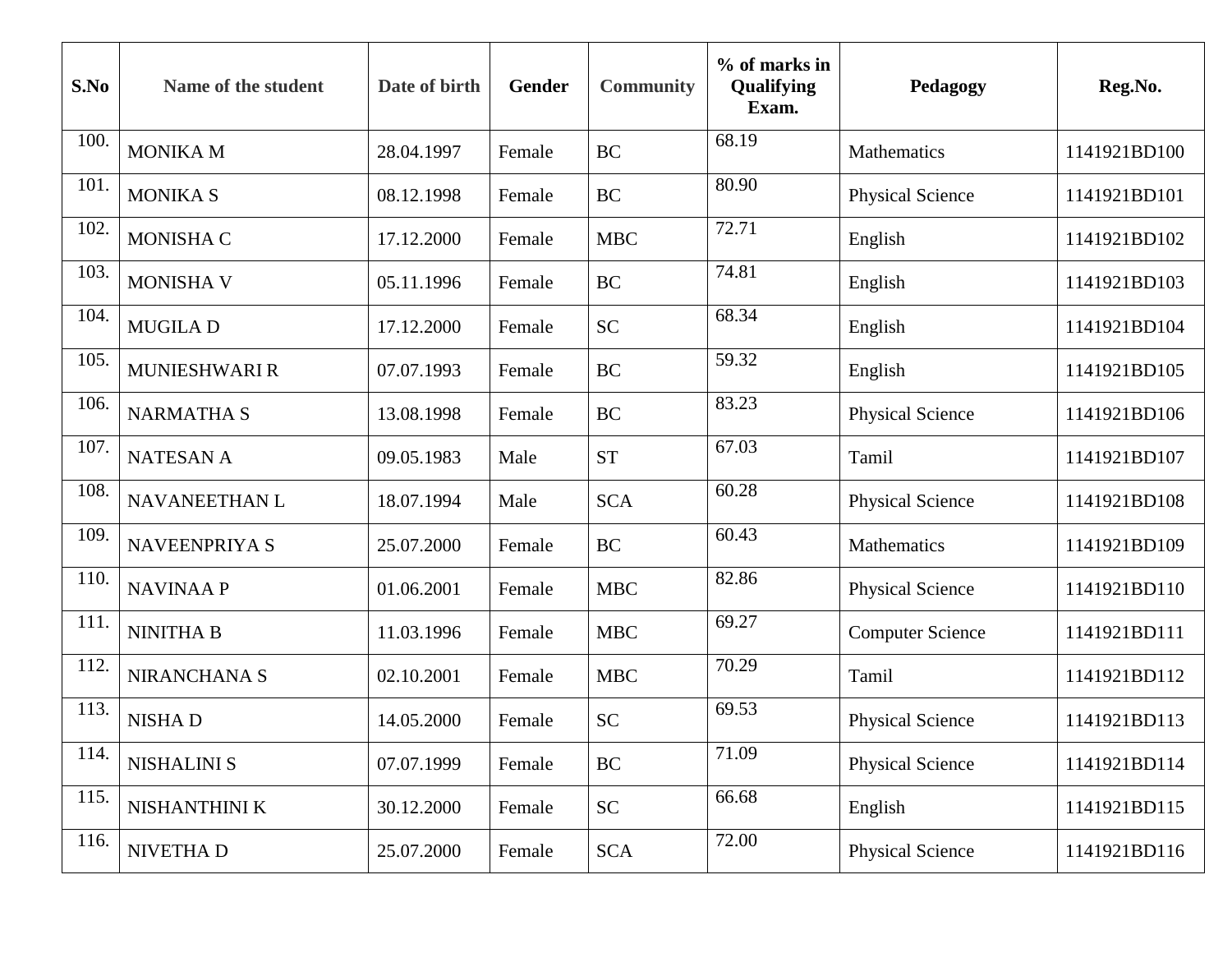| S.No | Name of the student  | Date of birth | Gender | <b>Community</b> | $%$ of marks in<br>Qualifying<br>Exam. | Pedagogy                | Reg.No.      |
|------|----------------------|---------------|--------|------------------|----------------------------------------|-------------------------|--------------|
| 100. | <b>MONIKA M</b>      | 28.04.1997    | Female | <b>BC</b>        | 68.19                                  | Mathematics             | 1141921BD100 |
| 101. | <b>MONIKA S</b>      | 08.12.1998    | Female | <b>BC</b>        | 80.90                                  | <b>Physical Science</b> | 1141921BD101 |
| 102. | <b>MONISHA C</b>     | 17.12.2000    | Female | <b>MBC</b>       | 72.71                                  | English                 | 1141921BD102 |
| 103. | <b>MONISHA V</b>     | 05.11.1996    | Female | <b>BC</b>        | 74.81                                  | English                 | 1141921BD103 |
| 104. | <b>MUGILAD</b>       | 17.12.2000    | Female | <b>SC</b>        | 68.34                                  | English                 | 1141921BD104 |
| 105. | <b>MUNIESHWARI R</b> | 07.07.1993    | Female | <b>BC</b>        | 59.32                                  | English                 | 1141921BD105 |
| 106. | <b>NARMATHA S</b>    | 13.08.1998    | Female | <b>BC</b>        | 83.23                                  | <b>Physical Science</b> | 1141921BD106 |
| 107. | <b>NATESAN A</b>     | 09.05.1983    | Male   | <b>ST</b>        | 67.03                                  | Tamil                   | 1141921BD107 |
| 108. | NAVANEETHAN L        | 18.07.1994    | Male   | <b>SCA</b>       | 60.28                                  | <b>Physical Science</b> | 1141921BD108 |
| 109. | NAVEENPRIYA S        | 25.07.2000    | Female | <b>BC</b>        | 60.43                                  | Mathematics             | 1141921BD109 |
| 110. | <b>NAVINAA P</b>     | 01.06.2001    | Female | <b>MBC</b>       | 82.86                                  | <b>Physical Science</b> | 1141921BD110 |
| 111  | <b>NINITHA B</b>     | 11.03.1996    | Female | <b>MBC</b>       | 69.27                                  | <b>Computer Science</b> | 1141921BD111 |
| 112. | NIRANCHANA S         | 02.10.2001    | Female | <b>MBC</b>       | 70.29                                  | Tamil                   | 1141921BD112 |
| 113. | <b>NISHAD</b>        | 14.05.2000    | Female | <b>SC</b>        | 69.53                                  | <b>Physical Science</b> | 1141921BD113 |
| 114. | <b>NISHALINI S</b>   | 07.07.1999    | Female | BC               | 71.09                                  | <b>Physical Science</b> | 1141921BD114 |
| 115. | NISHANTHINI K        | 30.12.2000    | Female | <b>SC</b>        | 66.68                                  | English                 | 1141921BD115 |
| 116. | NIVETHA D            | 25.07.2000    | Female | <b>SCA</b>       | 72.00                                  | <b>Physical Science</b> | 1141921BD116 |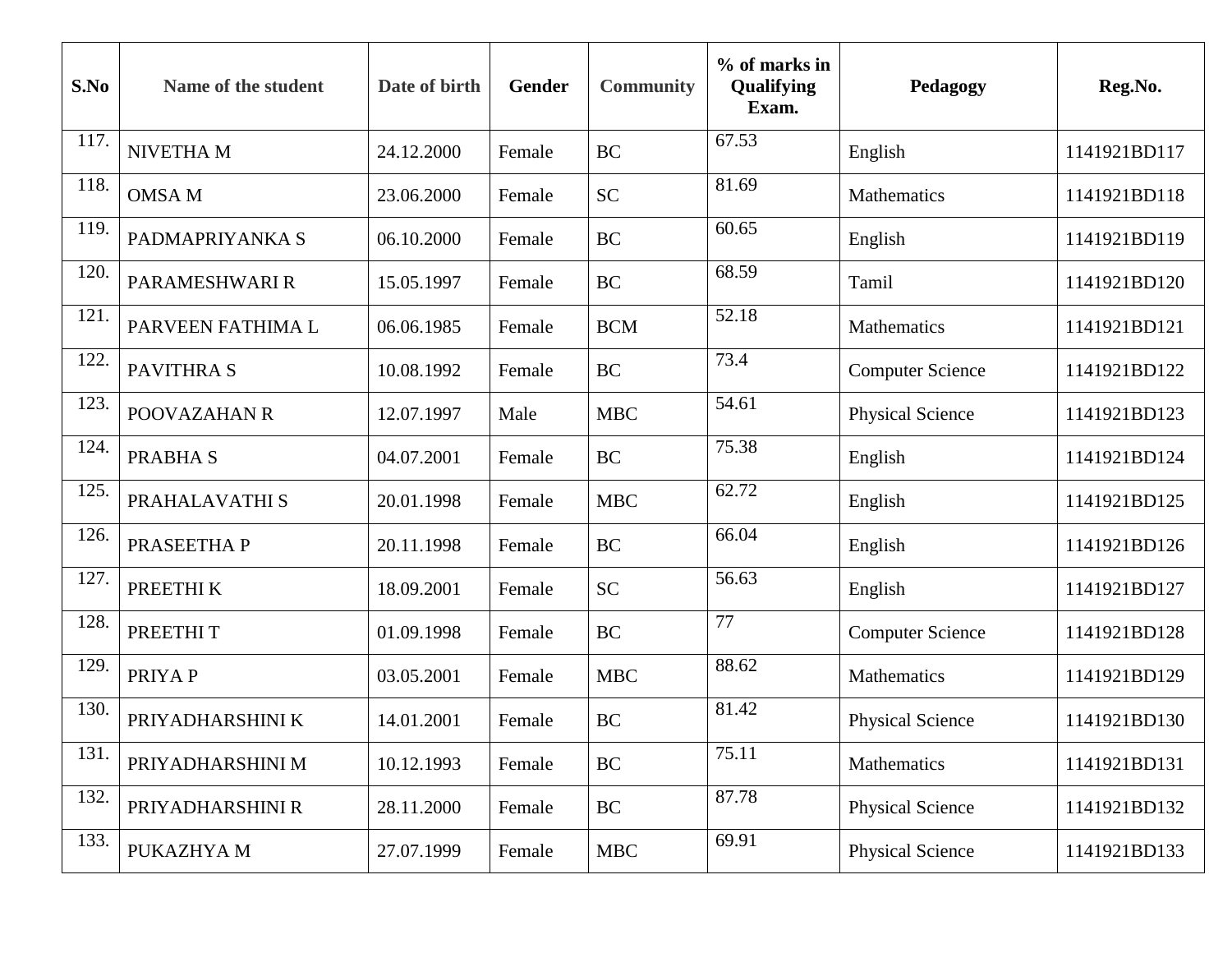| S.No | Name of the student | Date of birth | Gender | <b>Community</b> | % of marks in<br>Qualifying<br>Exam. | Pedagogy                | Reg.No.      |
|------|---------------------|---------------|--------|------------------|--------------------------------------|-------------------------|--------------|
| 117. | NIVETHA M           | 24.12.2000    | Female | <b>BC</b>        | 67.53                                | English                 | 1141921BD117 |
| 118. | <b>OMSA M</b>       | 23.06.2000    | Female | <b>SC</b>        | 81.69                                | Mathematics             | 1141921BD118 |
| 119. | PADMAPRIYANKA S     | 06.10.2000    | Female | <b>BC</b>        | 60.65                                | English                 | 1141921BD119 |
| 120. | PARAMESHWARI R      | 15.05.1997    | Female | <b>BC</b>        | 68.59                                | Tamil                   | 1141921BD120 |
| 121. | PARVEEN FATHIMA L   | 06.06.1985    | Female | <b>BCM</b>       | 52.18                                | Mathematics             | 1141921BD121 |
| 122  | <b>PAVITHRAS</b>    | 10.08.1992    | Female | <b>BC</b>        | 73.4                                 | <b>Computer Science</b> | 1141921BD122 |
| 123. | POOVAZAHAN R        | 12.07.1997    | Male   | <b>MBC</b>       | 54.61                                | <b>Physical Science</b> | 1141921BD123 |
| 124. | <b>PRABHAS</b>      | 04.07.2001    | Female | <b>BC</b>        | 75.38                                | English                 | 1141921BD124 |
| 125. | PRAHALAVATHI S      | 20.01.1998    | Female | <b>MBC</b>       | 62.72                                | English                 | 1141921BD125 |
| 126. | PRASEETHA P         | 20.11.1998    | Female | <b>BC</b>        | 66.04                                | English                 | 1141921BD126 |
| 127. | PREETHI K           | 18.09.2001    | Female | <b>SC</b>        | 56.63                                | English                 | 1141921BD127 |
| 128. | PREETHIT            | 01.09.1998    | Female | <b>BC</b>        | 77                                   | <b>Computer Science</b> | 1141921BD128 |
| 129. | PRIYA P             | 03.05.2001    | Female | <b>MBC</b>       | 88.62                                | Mathematics             | 1141921BD129 |
| 130. | PRIYADHARSHINI K    | 14.01.2001    | Female | <b>BC</b>        | 81.42                                | <b>Physical Science</b> | 1141921BD130 |
| 131. | PRIYADHARSHINI M    | 10.12.1993    | Female | BC               | 75.11                                | Mathematics             | 1141921BD131 |
| 132. | PRIYADHARSHINI R    | 28.11.2000    | Female | BC               | 87.78                                | <b>Physical Science</b> | 1141921BD132 |
| 133. | PUKAZHYA M          | 27.07.1999    | Female | <b>MBC</b>       | 69.91                                | <b>Physical Science</b> | 1141921BD133 |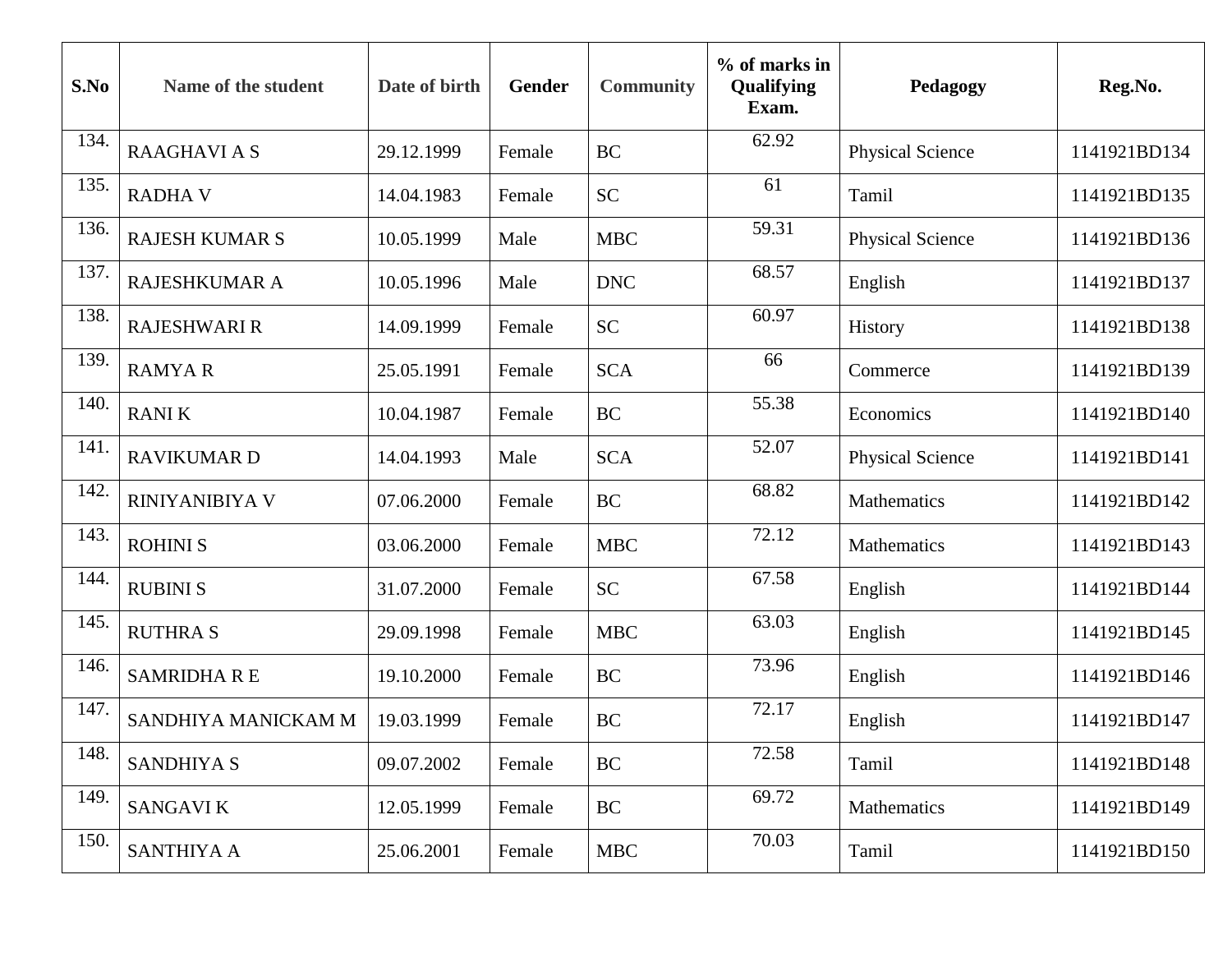| S.No | Name of the student   | Date of birth | Gender | <b>Community</b> | % of marks in<br>Qualifying<br>Exam. | Pedagogy                | Reg.No.      |
|------|-----------------------|---------------|--------|------------------|--------------------------------------|-------------------------|--------------|
| 134. | <b>RAAGHAVIAS</b>     | 29.12.1999    | Female | <b>BC</b>        | 62.92                                | <b>Physical Science</b> | 1141921BD134 |
| 135. | <b>RADHA V</b>        | 14.04.1983    | Female | <b>SC</b>        | 61                                   | Tamil                   | 1141921BD135 |
| 136. | <b>RAJESH KUMAR S</b> | 10.05.1999    | Male   | <b>MBC</b>       | 59.31                                | <b>Physical Science</b> | 1141921BD136 |
| 137. | <b>RAJESHKUMAR A</b>  | 10.05.1996    | Male   | <b>DNC</b>       | 68.57                                | English                 | 1141921BD137 |
| 138. | <b>RAJESHWARI R</b>   | 14.09.1999    | Female | <b>SC</b>        | 60.97                                | History                 | 1141921BD138 |
| 139. | <b>RAMYAR</b>         | 25.05.1991    | Female | <b>SCA</b>       | 66                                   | Commerce                | 1141921BD139 |
| 140. | <b>RANIK</b>          | 10.04.1987    | Female | <b>BC</b>        | 55.38                                | Economics               | 1141921BD140 |
| 141. | <b>RAVIKUMAR D</b>    | 14.04.1993    | Male   | <b>SCA</b>       | 52.07                                | <b>Physical Science</b> | 1141921BD141 |
| 142. | <b>RINIYANIBIYA V</b> | 07.06.2000    | Female | <b>BC</b>        | 68.82                                | Mathematics             | 1141921BD142 |
| 143. | <b>ROHINIS</b>        | 03.06.2000    | Female | <b>MBC</b>       | 72.12                                | Mathematics             | 1141921BD143 |
| 144. | <b>RUBINI S</b>       | 31.07.2000    | Female | <b>SC</b>        | 67.58                                | English                 | 1141921BD144 |
| 145. | <b>RUTHRAS</b>        | 29.09.1998    | Female | <b>MBC</b>       | 63.03                                | English                 | 1141921BD145 |
| 146. | <b>SAMRIDHA R E</b>   | 19.10.2000    | Female | <b>BC</b>        | 73.96                                | English                 | 1141921BD146 |
| 147. | SANDHIYA MANICKAM M   | 19.03.1999    | Female | <b>BC</b>        | 72.17                                | English                 | 1141921BD147 |
| 148. | <b>SANDHIYA S</b>     | 09.07.2002    | Female | <b>BC</b>        | 72.58                                | Tamil                   | 1141921BD148 |
| 149. | <b>SANGAVIK</b>       | 12.05.1999    | Female | <b>BC</b>        | 69.72                                | Mathematics             | 1141921BD149 |
| 150. | <b>SANTHIYA A</b>     | 25.06.2001    | Female | <b>MBC</b>       | 70.03                                | Tamil                   | 1141921BD150 |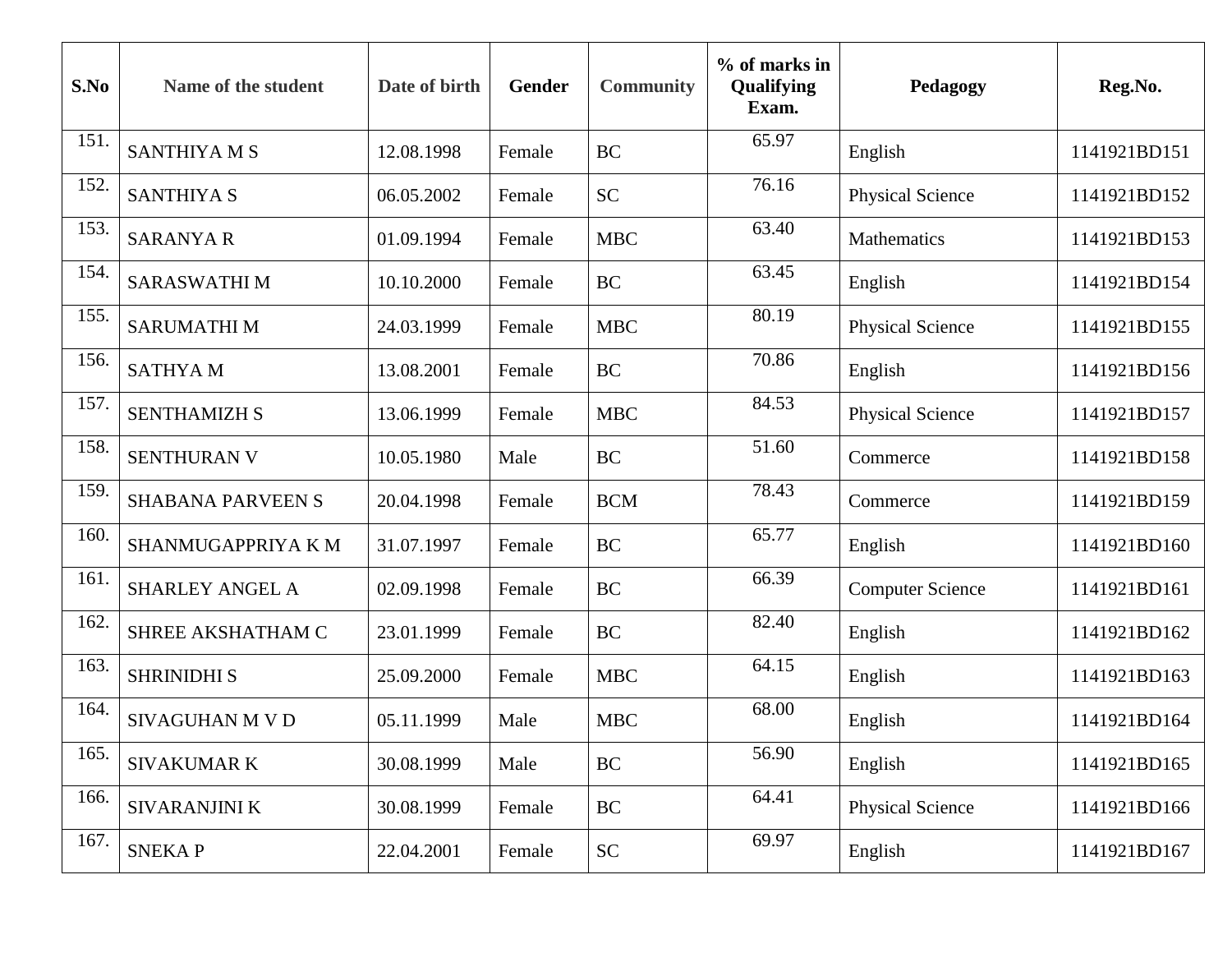| S.No | Name of the student      | Date of birth | Gender | <b>Community</b>           | % of marks in<br>Qualifying<br>Exam. | Pedagogy                | Reg.No.      |
|------|--------------------------|---------------|--------|----------------------------|--------------------------------------|-------------------------|--------------|
| 151  | <b>SANTHIYA M S</b>      | 12.08.1998    | Female | <b>BC</b>                  | 65.97                                | English                 | 1141921BD151 |
| 152. | <b>SANTHIYA S</b>        | 06.05.2002    | Female | <b>SC</b>                  | 76.16                                | <b>Physical Science</b> | 1141921BD152 |
| 153. | <b>SARANYA R</b>         | 01.09.1994    | Female | <b>MBC</b>                 | 63.40                                | Mathematics             | 1141921BD153 |
| 154. | <b>SARASWATHIM</b>       | 10.10.2000    | Female | <b>BC</b>                  | 63.45                                | English                 | 1141921BD154 |
| 155. | <b>SARUMATHIM</b>        | 24.03.1999    | Female | <b>MBC</b>                 | 80.19                                | <b>Physical Science</b> | 1141921BD155 |
| 156. | <b>SATHYAM</b>           | 13.08.2001    | Female | <b>BC</b>                  | 70.86                                | English                 | 1141921BD156 |
| 157. | <b>SENTHAMIZH S</b>      | 13.06.1999    | Female | <b>MBC</b>                 | 84.53                                | <b>Physical Science</b> | 1141921BD157 |
| 158. | <b>SENTHURAN V</b>       | 10.05.1980    | Male   | <b>BC</b>                  | 51.60                                | Commerce                | 1141921BD158 |
| 159. | <b>SHABANA PARVEEN S</b> | 20.04.1998    | Female | <b>BCM</b>                 | 78.43                                | Commerce                | 1141921BD159 |
| 160. | SHANMUGAPPRIYA K M       | 31.07.1997    | Female | <b>BC</b>                  | 65.77                                | English                 | 1141921BD160 |
| 161  | SHARLEY ANGEL A          | 02.09.1998    | Female | <b>BC</b>                  | 66.39                                | <b>Computer Science</b> | 1141921BD161 |
| 162. | SHREE AKSHATHAM C        | 23.01.1999    | Female | <b>BC</b>                  | 82.40                                | English                 | 1141921BD162 |
| 163. | <b>SHRINIDHI S</b>       | 25.09.2000    | Female | <b>MBC</b>                 | 64.15                                | English                 | 1141921BD163 |
| 164. | <b>SIVAGUHAN M V D</b>   | 05.11.1999    | Male   | <b>MBC</b>                 | 68.00                                | English                 | 1141921BD164 |
| 165. | <b>SIVAKUMAR K</b>       | 30.08.1999    | Male   | <b>BC</b>                  | 56.90                                | English                 | 1141921BD165 |
| 166. | SIVARANJINI K            | 30.08.1999    | Female | <b>BC</b>                  | 64.41                                | <b>Physical Science</b> | 1141921BD166 |
| 167. | <b>SNEKAP</b>            | 22.04.2001    | Female | $\ensuremath{\mathbf{SC}}$ | 69.97                                | English                 | 1141921BD167 |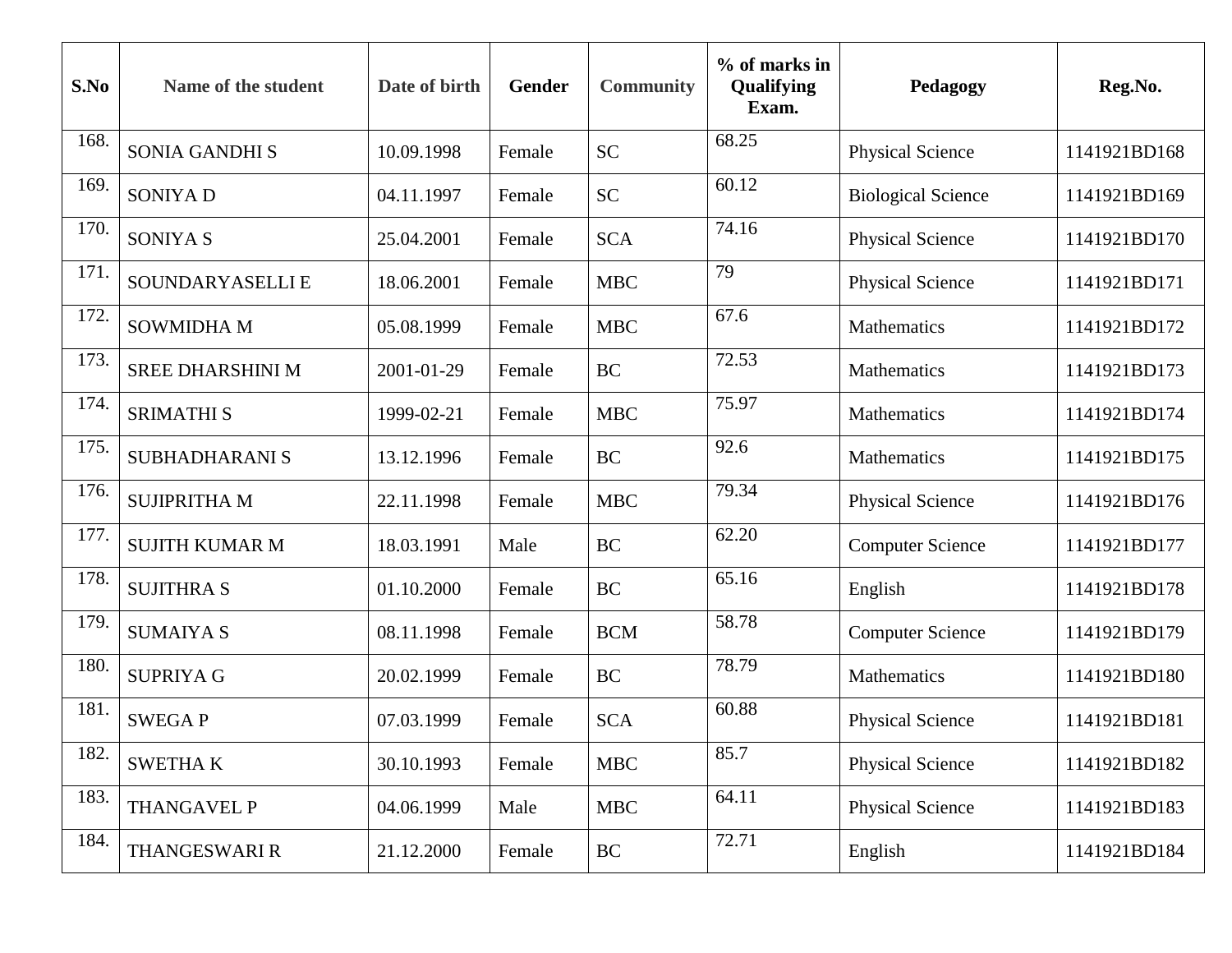| S.No | Name of the student     | Date of birth | Gender | <b>Community</b> | % of marks in<br>Qualifying<br>Exam. | Pedagogy                  | Reg.No.      |
|------|-------------------------|---------------|--------|------------------|--------------------------------------|---------------------------|--------------|
| 168. | <b>SONIA GANDHI S</b>   | 10.09.1998    | Female | <b>SC</b>        | 68.25                                | <b>Physical Science</b>   | 1141921BD168 |
| 169. | <b>SONIYAD</b>          | 04.11.1997    | Female | <b>SC</b>        | 60.12                                | <b>Biological Science</b> | 1141921BD169 |
| 170. | SONIYA S                | 25.04.2001    | Female | <b>SCA</b>       | 74.16                                | <b>Physical Science</b>   | 1141921BD170 |
| 171. | SOUNDARYASELLI E        | 18.06.2001    | Female | <b>MBC</b>       | 79                                   | <b>Physical Science</b>   | 1141921BD171 |
| 172. | <b>SOWMIDHA M</b>       | 05.08.1999    | Female | <b>MBC</b>       | 67.6                                 | Mathematics               | 1141921BD172 |
| 173. | <b>SREE DHARSHINI M</b> | 2001-01-29    | Female | <b>BC</b>        | 72.53                                | <b>Mathematics</b>        | 1141921BD173 |
| 174. | <b>SRIMATHI S</b>       | 1999-02-21    | Female | <b>MBC</b>       | 75.97                                | Mathematics               | 1141921BD174 |
| 175. | SUBHADHARANI S          | 13.12.1996    | Female | <b>BC</b>        | 92.6                                 | Mathematics               | 1141921BD175 |
| 176. | <b>SUJIPRITHA M</b>     | 22.11.1998    | Female | <b>MBC</b>       | 79.34                                | <b>Physical Science</b>   | 1141921BD176 |
| 177. | <b>SUJITH KUMAR M</b>   | 18.03.1991    | Male   | <b>BC</b>        | 62.20                                | <b>Computer Science</b>   | 1141921BD177 |
| 178. | <b>SUJITHRA S</b>       | 01.10.2000    | Female | <b>BC</b>        | 65.16                                | English                   | 1141921BD178 |
| 179. | <b>SUMAIYA S</b>        | 08.11.1998    | Female | <b>BCM</b>       | 58.78                                | <b>Computer Science</b>   | 1141921BD179 |
| 180. | <b>SUPRIYA G</b>        | 20.02.1999    | Female | <b>BC</b>        | 78.79                                | Mathematics               | 1141921BD180 |
| 181  | <b>SWEGAP</b>           | 07.03.1999    | Female | <b>SCA</b>       | 60.88                                | <b>Physical Science</b>   | 1141921BD181 |
| 182. | <b>SWETHAK</b>          | 30.10.1993    | Female | <b>MBC</b>       | 85.7                                 | <b>Physical Science</b>   | 1141921BD182 |
| 183. | THANGAVEL P             | 04.06.1999    | Male   | <b>MBC</b>       | 64.11                                | <b>Physical Science</b>   | 1141921BD183 |
| 184. | THANGESWARI R           | 21.12.2000    | Female | BC               | 72.71                                | English                   | 1141921BD184 |